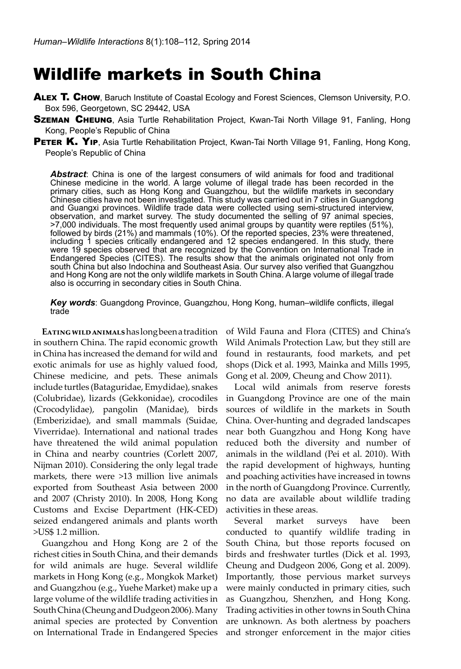# Wildlife markets in South China

- ALEX T. CHOW, Baruch Institute of Coastal Ecology and Forest Sciences, Clemson University, P.O. Box 596, Georgetown, SC 29442, USA
- **SZEMAN CHEUNG**, Asia Turtle Rehabilitation Project, Kwan-Tai North Village 91, Fanling, Hong Kong, People's Republic of China
- PETER K. YIP, Asia Turtle Rehabilitation Project, Kwan-Tai North Village 91, Fanling, Hong Kong, People's Republic of China

*Abstract*: China is one of the largest consumers of wild animals for food and traditional Chinese medicine in the world. A large volume of illegal trade has been recorded in the primary cities, such as Hong Kong and Guangzhou, but the wildlife markets in secondary Chinese cities have not been investigated. This study was carried out in 7 cities in Guangdong and Guangxi provinces. Wildlife trade data were collected using semi-structured interview, observation, and market survey. The study documented the selling of 97 animal species, >7,000 individuals. The most frequently used animal groups by quantity were reptiles (51%), followed by birds (21%) and mammals (10%). Of the reported species, 23% were threatened, including 1 species critically endangered and 12 species endangered. In this study, there were 19 species observed that are recognized by the Convention on International Trade in Endangered Species (CITES). The results show that the animals originated not only from south China but also Indochina and Southeast Asia. Our survey also verified that Guangzhou and Hong Kong are not the only wildlife markets in South China. A large volume of illegal trade also is occurring in secondary cities in South China.

*Key words*: Guangdong Province, Guangzhou, Hong Kong, human–wildlife conflicts, illegal trade

**Eating wild animals** has long been a tradition in southern China. The rapid economic growth in China has increased the demand for wild and exotic animals for use as highly valued food, Chinese medicine, and pets. These animals include turtles (Bataguridae, Emydidae), snakes (Colubridae), lizards (Gekkonidae), crocodiles (Crocodylidae), pangolin (Manidae), birds (Emberizidae), and small mammals (Suidae, Viverridae). International and national trades have threatened the wild animal population in China and nearby countries (Corlett 2007, Nijman 2010). Considering the only legal trade markets, there were >13 million live animals exported from Southeast Asia between 2000 and 2007 (Christy 2010). In 2008, Hong Kong Customs and Excise Department (HK-CED) seized endangered animals and plants worth >US\$ 1.2 million.

Guangzhou and Hong Kong are 2 of the richest cities in South China, and their demands for wild animals are huge. Several wildlife markets in Hong Kong (e.g., Mongkok Market) and Guangzhou (e.g., Yuehe Market) make up a large volume of the wildlife trading activities in South China (Cheung and Dudgeon 2006). Many animal species are protected by Convention on International Trade in Endangered Species

of Wild Fauna and Flora (CITES) and China's Wild Animals Protection Law, but they still are found in restaurants, food markets, and pet shops (Dick et al. 1993, Mainka and Mills 1995, Gong et al. 2009, Cheung and Chow 2011).

Local wild animals from reserve forests in Guangdong Province are one of the main sources of wildlife in the markets in South China. Over-hunting and degraded landscapes near both Guangzhou and Hong Kong have reduced both the diversity and number of animals in the wildland (Pei et al. 2010). With the rapid development of highways, hunting and poaching activities have increased in towns in the north of Guangdong Province. Currently, no data are available about wildlife trading activities in these areas.

Several market surveys have been conducted to quantify wildlife trading in South China, but those reports focused on birds and freshwater turtles (Dick et al. 1993, Cheung and Dudgeon 2006, Gong et al. 2009). Importantly, those pervious market surveys were mainly conducted in primary cities, such as Guangzhou, Shenzhen, and Hong Kong. Trading activities in other towns in South China are unknown. As both alertness by poachers and stronger enforcement in the major cities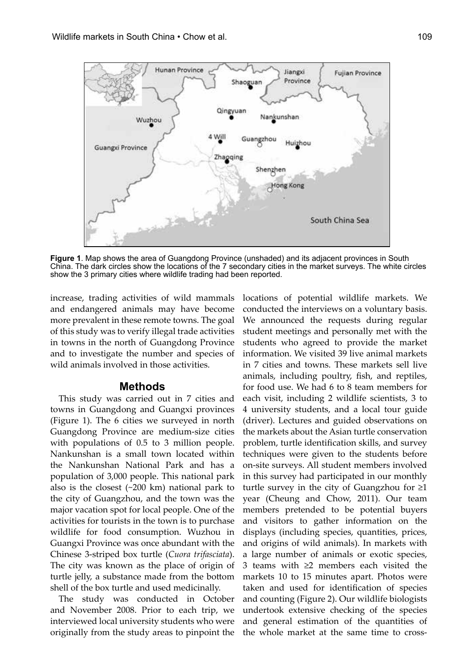

**Figure 1**. Map shows the area of Guangdong Province (unshaded) and its adjacent provinces in South China. The dark circles show the locations of the 7 secondary cities in the market surveys. The white circles show the 3 primary cities where wildlife trading had been reported.

increase, trading activities of wild mammals and endangered animals may have become more prevalent in these remote towns. The goal of this study was to verify illegal trade activities in towns in the north of Guangdong Province and to investigate the number and species of wild animals involved in those activities.

#### **Methods**

This study was carried out in 7 cities and towns in Guangdong and Guangxi provinces (Figure 1). The 6 cities we surveyed in north Guangdong Province are medium-size cities with populations of 0.5 to 3 million people. Nankunshan is a small town located within the Nankunshan National Park and has a population of 3,000 people. This national park also is the closest (~200 km) national park to the city of Guangzhou, and the town was the major vacation spot for local people. One of the activities for tourists in the town is to purchase wildlife for food consumption. Wuzhou in Guangxi Province was once abundant with the Chinese 3-striped box turtle (*Cuora trifasciata*). The city was known as the place of origin of turtle jelly, a substance made from the bottom shell of the box turtle and used medicinally.

The study was conducted in October and November 2008. Prior to each trip, we interviewed local university students who were originally from the study areas to pinpoint the locations of potential wildlife markets. We conducted the interviews on a voluntary basis. We announced the requests during regular student meetings and personally met with the students who agreed to provide the market information. We visited 39 live animal markets in 7 cities and towns. These markets sell live animals, including poultry, fish, and reptiles, for food use. We had 6 to 8 team members for each visit, including 2 wildlife scientists, 3 to 4 university students, and a local tour guide (driver). Lectures and guided observations on the markets about the Asian turtle conservation problem, turtle identification skills, and survey techniques were given to the students before on-site surveys. All student members involved in this survey had participated in our monthly turtle survey in the city of Guangzhou for ≥1 year (Cheung and Chow, 2011). Our team members pretended to be potential buyers and visitors to gather information on the displays (including species, quantities, prices, and origins of wild animals). In markets with a large number of animals or exotic species, 3 teams with ≥2 members each visited the markets 10 to 15 minutes apart. Photos were taken and used for identification of species and counting (Figure 2). Our wildlife biologists undertook extensive checking of the species and general estimation of the quantities of the whole market at the same time to cross-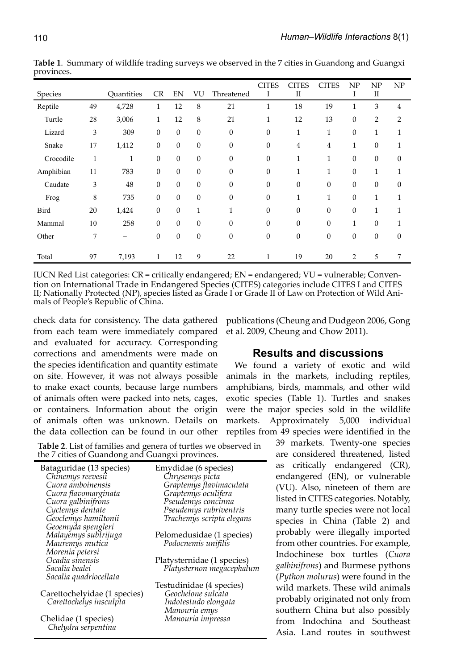| Species   |    | Ouantities   | <b>CR</b>        | EN               | VU               | Threatened   | CITES<br>I     | CITES<br>$\mathbf{I}$ | <b>CITES</b>   | NP<br>I          | NP<br>$\mathbf{I}$ | NP               |
|-----------|----|--------------|------------------|------------------|------------------|--------------|----------------|-----------------------|----------------|------------------|--------------------|------------------|
| Reptile   | 49 | 4,728        | $\mathbf{1}$     | 12               | 8                | 21           | 1              | 18                    | 19             | $\mathbf{1}$     | 3                  | $\overline{4}$   |
| Turtle    | 28 | 3,006        | $\mathbf{1}$     | 12               | 8                | 21           | $\mathbf{1}$   | 12                    | 13             | $\boldsymbol{0}$ | $\overline{2}$     | $\overline{2}$   |
| Lizard    | 3  | 309          | $\mathbf{0}$     | $\theta$         | $\theta$         | $\mathbf{0}$ | $\mathbf{0}$   | $\mathbf{1}$          | 1              | $\mathbf{0}$     | 1                  | 1                |
| Snake     | 17 | 1,412        | $\boldsymbol{0}$ | $\boldsymbol{0}$ | $\mathbf{0}$     | $\mathbf{0}$ | $\mathbf{0}$   | $\overline{4}$        | $\overline{4}$ | $\mathbf{1}$     | $\boldsymbol{0}$   | $\mathbf{1}$     |
| Crocodile | 1  | $\mathbf{1}$ | $\boldsymbol{0}$ | $\boldsymbol{0}$ | $\theta$         | $\theta$     | $\mathbf{0}$   | $\mathbf{1}$          | $\mathbf{1}$   | 0                | $\mathbf{0}$       | $\mathbf{0}$     |
| Amphibian | 11 | 783          | $\boldsymbol{0}$ | $\theta$         | $\mathbf{0}$     | $\mathbf{0}$ | $\overline{0}$ | $\mathbf{1}$          | $\mathbf{1}$   | $\mathbf{0}$     | 1                  | $\mathbf{1}$     |
| Caudate   | 3  | 48           | $\mathbf{0}$     | $\boldsymbol{0}$ | $\boldsymbol{0}$ | $\mathbf{0}$ | $\mathbf{0}$   | $\boldsymbol{0}$      | $\mathbf{0}$   | $\mathbf{0}$     | $\boldsymbol{0}$   | $\boldsymbol{0}$ |
| Frog      | 8  | 735          | $\mathbf{0}$     | $\mathbf{0}$     | $\mathbf{0}$     | $\theta$     | $\overline{0}$ | $\mathbf{1}$          | $\mathbf{1}$   | $\mathbf{0}$     | 1                  | $\mathbf{1}$     |
| Bird      | 20 | 1,424        | $\mathbf{0}$     | $\theta$         | 1                | 1            | $\overline{0}$ | $\mathbf{0}$          | $\mathbf{0}$   | 0                | $\mathbf{1}$       | $\mathbf{1}$     |
| Mammal    | 10 | 258          | $\boldsymbol{0}$ | $\theta$         | $\mathbf{0}$     | $\theta$     | $\overline{0}$ | $\mathbf{0}$          | $\mathbf{0}$   | 1                | $\theta$           | $\mathbf{1}$     |
| Other     | 7  | -            | $\overline{0}$   | $\theta$         | $\mathbf{0}$     | $\mathbf{0}$ | $\overline{0}$ | $\mathbf{0}$          | $\overline{0}$ | 0                | $\mathbf{0}$       | $\mathbf{0}$     |
| Total     | 97 | 7,193        | 1                | 12               | 9                | 22           | 1              | 19                    | 20             | 2                | 5                  |                  |

**Table 1**. Summary of wildlife trading surveys we observed in the 7 cities in Guandong and Guangxi provinces.

IUCN Red List categories: CR = critically endangered; EN = endangered; VU = vulnerable; Convention on International Trade in Endangered Species (CITES) categories include CITES I and CITES II; Nationally Protected (NP), species listed as Grade I or Grade II of Law on Protection of Wild Animals of People's Republic of China.

check data for consistency. The data gathered from each team were immediately compared and evaluated for accuracy. Corresponding corrections and amendments were made on the species identification and quantity estimate on site. However, it was not always possible to make exact counts, because large numbers of animals often were packed into nets, cages, or containers. Information about the origin of animals often was unknown. Details on the data collection can be found in our other

publications (Cheung and Dudgeon 2006, Gong et al. 2009, Cheung and Chow 2011).

### **Results and discussions**

We found a variety of exotic and wild animals in the markets, including reptiles, amphibians, birds, mammals, and other wild exotic species (Table 1). Turtles and snakes were the major species sold in the wildlife markets. Approximately 5,000 individual reptiles from 49 species were identified in the

**Table 2**. List of families and genera of turtles we observed in the 7 cities of Guandong and Guangxi provinces.

| Bataguridae (13 species)           | Emydidae (6 species)       |
|------------------------------------|----------------------------|
| Chinemys reevesii                  | Chrysemys picta            |
| Cuora amboinensis                  | Graptemys flavimaculata    |
| Cuora flavomarginata               | Graptemys oculifera        |
| Cuora galbinifrons                 | Pseudemys concinna         |
| Cyclemys dentate                   | Pseudemys rubriventris     |
| Geoclemys hamiltonii               | Trachemys scripta elegans  |
| Geoemyda spengleri                 |                            |
| Malayemys subtrijuga               | Pelomedusidae (1 species)  |
| Mauremys mutica                    | Podocnemis unifilis        |
|                                    |                            |
| Morenia petersi<br>Ocadia sinensis | Platysternidae (1 species) |
| Sacalia bealei                     | Platysternon megacephalum  |
| Sacalia quadriocellata             |                            |
|                                    | Testudinidae (4 species)   |
| Carettochelyidae (1 species)       | Geochelone sulcata         |
| Carettochelys insculpta            | Indotestudo elongata       |
|                                    | Manouria emys              |
| Chelidae (1 species)               | Manouria impressa          |
| Chelydra serpentina                |                            |

39 markets. Twenty-one species are considered threatened, listed as critically endangered (CR), endangered (EN), or vulnerable (VU). Also, nineteen of them are listed in CITES categories. Notably, many turtle species were not local species in China (Table 2) and probably were illegally imported from other countries. For example, Indochinese box turtles (*Cuora galbinifrons*) and Burmese pythons (*Python molurus*) were found in the wild markets. These wild animals probably originated not only from southern China but also possibly from Indochina and Southeast Asia. Land routes in southwest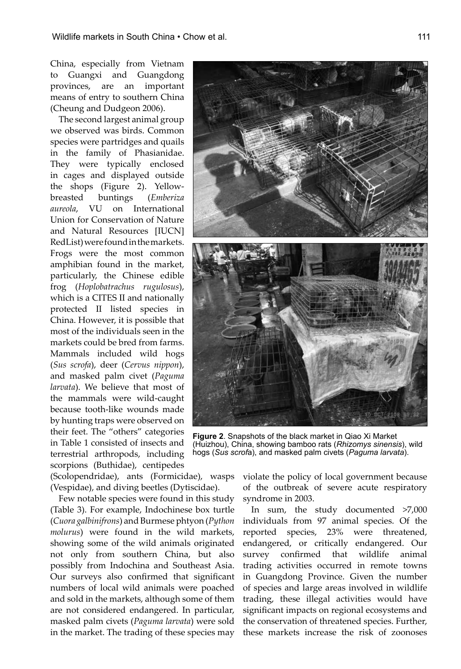China, especially from Vietnam to Guangxi and Guangdong provinces, are an important means of entry to southern China (Cheung and Dudgeon 2006).

The second largest animal group we observed was birds. Common species were partridges and quails in the family of Phasianidae. They were typically enclosed in cages and displayed outside the shops (Figure 2). Yellowbreasted buntings (*Emberiza aureola*, VU on International Union for Conservation of Nature and Natural Resources [IUCN] RedList) were found in the markets. Frogs were the most common amphibian found in the market, particularly, the Chinese edible frog (*Hoplobatrachus rugulosus*), which is a CITES II and nationally protected II listed species in China. However, it is possible that most of the individuals seen in the markets could be bred from farms. Mammals included wild hogs (*Sus scrofa*), deer (*Cervus nippon*), and masked palm civet (*Paguma larvata*). We believe that most of the mammals were wild-caught because tooth-like wounds made by hunting traps were observed on their feet. The "others" categories in Table 1 consisted of insects and terrestrial arthropods, including scorpions (Buthidae), centipedes

**Figure 2**. Snapshots of the black market in Qiao Xi Market (Huizhou), China, showing bamboo rats (*Rhizomys sinensis*), wild hogs (*Sus scrof*a), and masked palm civets (*Paguma larvata*).

(Scolopendridae), ants (Formicidae), wasps (Vespidae), and diving beetles (Dytiscidae).

Few notable species were found in this study (Table 3). For example, Indochinese box turtle (*Cuora galbinifrons*) and Burmese phtyon (*Python molurus*) were found in the wild markets, showing some of the wild animals originated not only from southern China, but also possibly from Indochina and Southeast Asia. Our surveys also confirmed that significant numbers of local wild animals were poached and sold in the markets, although some of them are not considered endangered. In particular, masked palm civets (*Paguma larvata*) were sold in the market. The trading of these species may

violate the policy of local government because of the outbreak of severe acute respiratory syndrome in 2003.

In sum, the study documented >7,000 individuals from 97 animal species. Of the reported species, 23% were threatened, endangered, or critically endangered. Our survey confirmed that wildlife animal trading activities occurred in remote towns in Guangdong Province. Given the number of species and large areas involved in wildlife trading, these illegal activities would have significant impacts on regional ecosystems and the conservation of threatened species. Further, these markets increase the risk of zoonoses